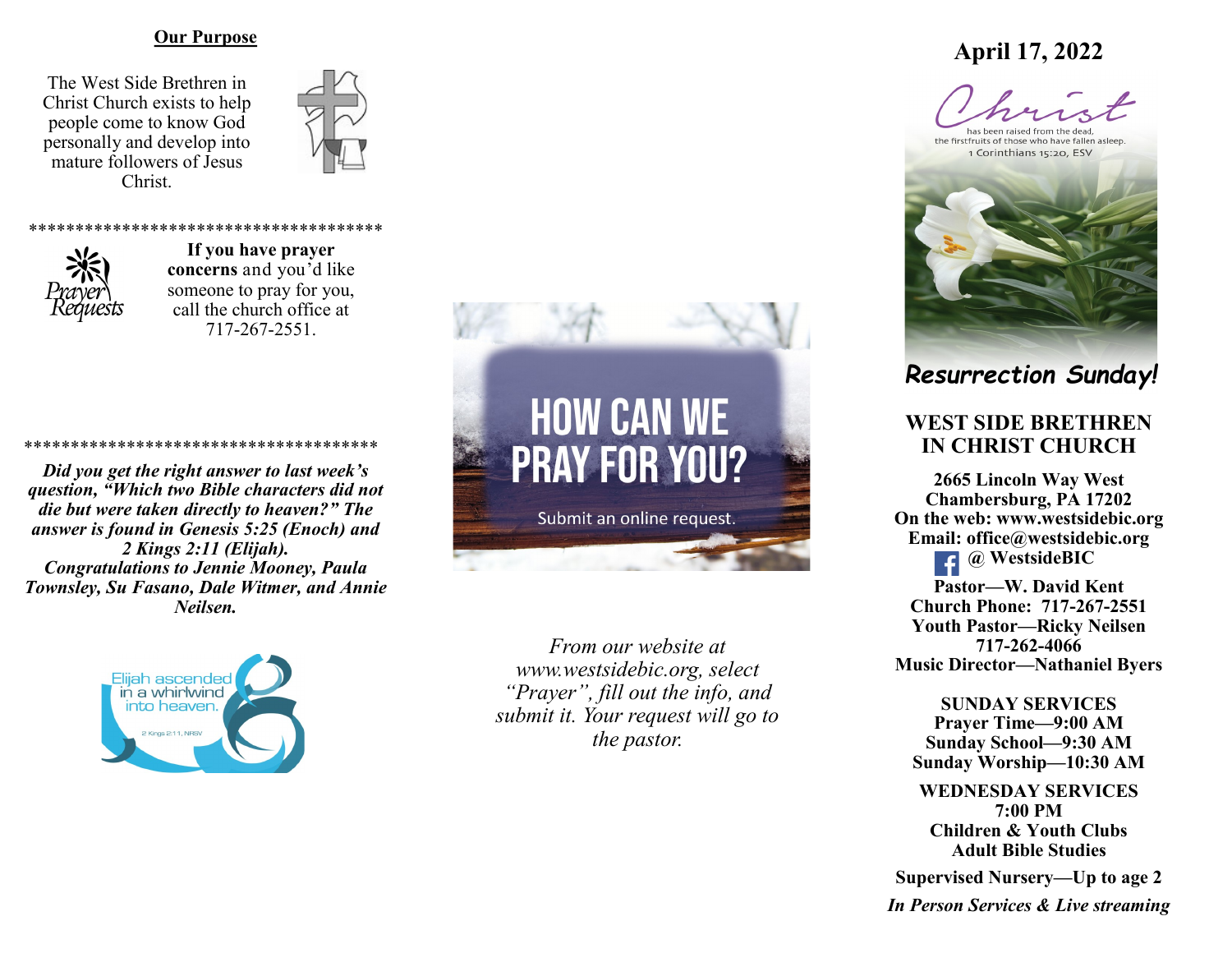#### **Our Purpose**

The West Side Brethren in Christ Church exists to help people come to know God personally and develop into mature followers of Jesus Christ.





**If you have prayer concerns** and you'd like someone to pray for you, call the church office at 717-267-2551.

\*\*\*\*\*\*\*\*\*\*\*\*\*\*\*\*\*\*\*\*\*\*\*\*\*\*\*\*\*\*\*\*\*\*\*\*\*\*

\*\*\*\*\*\*\*\*\*\*\*\*\*\*\*\*\*\*\*\*\*\*\*\*\*\*\*\*\*\*\*\*\*\*\*\*\*\* *Did you get the right answer to last week's question, "Which two Bible characters did not die but were taken directly to heaven?" The answer is found in Genesis 5:25 (Enoch) and 2 Kings 2:11 (Elijah). Congratulations to Jennie Mooney, Paula Townsley, Su Fasano, Dale Witmer, and Annie Neilsen.*





*From our website at www.westsidebic.org, select "Prayer", fill out the info, and submit it. Your request will go to the pastor.*

# **April 17, 2022**

has been raised from the dead the firstfruits of those who have fallen asleep 1 Corinthians 15:20, ESV



*Resurrection Sunday!*

# **WEST SIDE BRETHREN IN CHRIST CHURCH**

**2665 Lincoln Way West Chambersburg, PA 17202 On the web: [www.westsidebic.org](http://www.westsidebic.org) Email: office@westsidebic.org @ WestsideBIC Pastor—W. David Kent Church Phone: 717-267-2551 Youth Pastor—Ricky Neilsen 717-262-4066 Music Director—Nathaniel Byers**

**SUNDAY SERVICES Prayer Time—9:00 AM**

**Sunday School—9:30 AM Sunday Worship—10:30 AM**

**WEDNESDAY SERVICES 7:00 PM Children & Youth Clubs Adult Bible Studies**

**Supervised Nursery—Up to age 2**

*In Person Services & Live streaming*